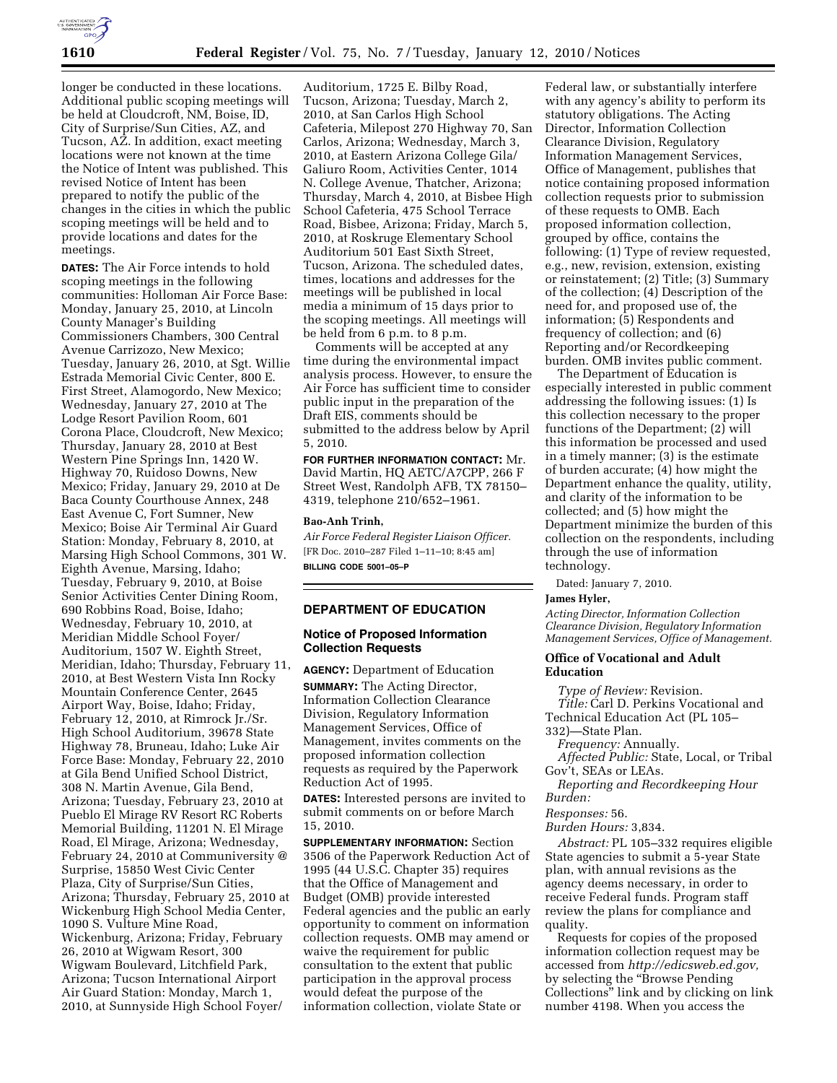

longer be conducted in these locations. Additional public scoping meetings will be held at Cloudcroft, NM, Boise, ID, City of Surprise/Sun Cities, AZ, and Tucson, AZ. In addition, exact meeting locations were not known at the time the Notice of Intent was published. This revised Notice of Intent has been prepared to notify the public of the changes in the cities in which the public scoping meetings will be held and to provide locations and dates for the meetings.

**DATES:** The Air Force intends to hold scoping meetings in the following communities: Holloman Air Force Base: Monday, January 25, 2010, at Lincoln County Manager's Building Commissioners Chambers, 300 Central Avenue Carrizozo, New Mexico; Tuesday, January 26, 2010, at Sgt. Willie Estrada Memorial Civic Center, 800 E. First Street, Alamogordo, New Mexico; Wednesday, January 27, 2010 at The Lodge Resort Pavilion Room, 601 Corona Place, Cloudcroft, New Mexico; Thursday, January 28, 2010 at Best Western Pine Springs Inn, 1420 W. Highway 70, Ruidoso Downs, New Mexico; Friday, January 29, 2010 at De Baca County Courthouse Annex, 248 East Avenue C, Fort Sumner, New Mexico; Boise Air Terminal Air Guard Station: Monday, February 8, 2010, at Marsing High School Commons, 301 W. Eighth Avenue, Marsing, Idaho; Tuesday, February 9, 2010, at Boise Senior Activities Center Dining Room, 690 Robbins Road, Boise, Idaho; Wednesday, February 10, 2010, at Meridian Middle School Foyer/ Auditorium, 1507 W. Eighth Street, Meridian, Idaho; Thursday, February 11, 2010, at Best Western Vista Inn Rocky Mountain Conference Center, 2645 Airport Way, Boise, Idaho; Friday, February 12, 2010, at Rimrock Jr./Sr. High School Auditorium, 39678 State Highway 78, Bruneau, Idaho; Luke Air Force Base: Monday, February 22, 2010 at Gila Bend Unified School District, 308 N. Martin Avenue, Gila Bend, Arizona; Tuesday, February 23, 2010 at Pueblo El Mirage RV Resort RC Roberts Memorial Building, 11201 N. El Mirage Road, El Mirage, Arizona; Wednesday, February 24, 2010 at Communiversity @ Surprise, 15850 West Civic Center Plaza, City of Surprise/Sun Cities, Arizona; Thursday, February 25, 2010 at Wickenburg High School Media Center, 1090 S. Vulture Mine Road, Wickenburg, Arizona; Friday, February 26, 2010 at Wigwam Resort, 300 Wigwam Boulevard, Litchfield Park, Arizona; Tucson International Airport Air Guard Station: Monday, March 1, 2010, at Sunnyside High School Foyer/

Auditorium, 1725 E. Bilby Road, Tucson, Arizona; Tuesday, March 2, 2010, at San Carlos High School Cafeteria, Milepost 270 Highway 70, San Carlos, Arizona; Wednesday, March 3, 2010, at Eastern Arizona College Gila/ Galiuro Room, Activities Center, 1014 N. College Avenue, Thatcher, Arizona; Thursday, March 4, 2010, at Bisbee High School Cafeteria, 475 School Terrace Road, Bisbee, Arizona; Friday, March 5, 2010, at Roskruge Elementary School Auditorium 501 East Sixth Street, Tucson, Arizona. The scheduled dates, times, locations and addresses for the meetings will be published in local media a minimum of 15 days prior to the scoping meetings. All meetings will be held from 6 p.m. to 8 p.m.

Comments will be accepted at any time during the environmental impact analysis process. However, to ensure the Air Force has sufficient time to consider public input in the preparation of the Draft EIS, comments should be submitted to the address below by April 5, 2010.

**FOR FURTHER INFORMATION CONTACT:** Mr. David Martin, HQ AETC/A7CPP, 266 F Street West, Randolph AFB, TX 78150– 4319, telephone 210/652–1961.

## **Bao-Anh Trinh,**

*Air Force Federal Register Liaison Officer.*  [FR Doc. 2010–287 Filed 1–11–10; 8:45 am] **BILLING CODE 5001–05–P** 

## **DEPARTMENT OF EDUCATION**

### **Notice of Proposed Information Collection Requests**

**AGENCY:** Department of Education

**SUMMARY:** The Acting Director, Information Collection Clearance Division, Regulatory Information Management Services, Office of Management, invites comments on the proposed information collection requests as required by the Paperwork Reduction Act of 1995.

**DATES:** Interested persons are invited to submit comments on or before March 15, 2010.

**SUPPLEMENTARY INFORMATION:** Section 3506 of the Paperwork Reduction Act of 1995 (44 U.S.C. Chapter 35) requires that the Office of Management and Budget (OMB) provide interested Federal agencies and the public an early opportunity to comment on information collection requests. OMB may amend or waive the requirement for public consultation to the extent that public participation in the approval process would defeat the purpose of the information collection, violate State or

Federal law, or substantially interfere with any agency's ability to perform its statutory obligations. The Acting Director, Information Collection Clearance Division, Regulatory Information Management Services, Office of Management, publishes that notice containing proposed information collection requests prior to submission of these requests to OMB. Each proposed information collection, grouped by office, contains the following: (1) Type of review requested, e.g., new, revision, extension, existing or reinstatement; (2) Title; (3) Summary of the collection; (4) Description of the need for, and proposed use of, the information; (5) Respondents and frequency of collection; and (6) Reporting and/or Recordkeeping burden. OMB invites public comment.

The Department of Education is especially interested in public comment addressing the following issues: (1) Is this collection necessary to the proper functions of the Department; (2) will this information be processed and used in a timely manner; (3) is the estimate of burden accurate; (4) how might the Department enhance the quality, utility, and clarity of the information to be collected; and (5) how might the Department minimize the burden of this collection on the respondents, including through the use of information technology.

Dated: January 7, 2010.

## **James Hyler,**

*Acting Director, Information Collection Clearance Division, Regulatory Information Management Services, Office of Management.* 

### **Office of Vocational and Adult Education**

*Type of Review:* Revision. *Title:* Carl D. Perkins Vocational and Technical Education Act (PL 105– 332)—State Plan.

*Frequency:* Annually.

*Affected Public:* State, Local, or Tribal Gov't, SEAs or LEAs.

*Reporting and Recordkeeping Hour Burden:* 

*Responses:* 56.

*Burden Hours:* 3,834.

*Abstract:* PL 105–332 requires eligible State agencies to submit a 5-year State plan, with annual revisions as the agency deems necessary, in order to receive Federal funds. Program staff review the plans for compliance and quality.

Requests for copies of the proposed information collection request may be accessed from *http://edicsweb.ed.gov,*  by selecting the ''Browse Pending Collections'' link and by clicking on link number 4198. When you access the